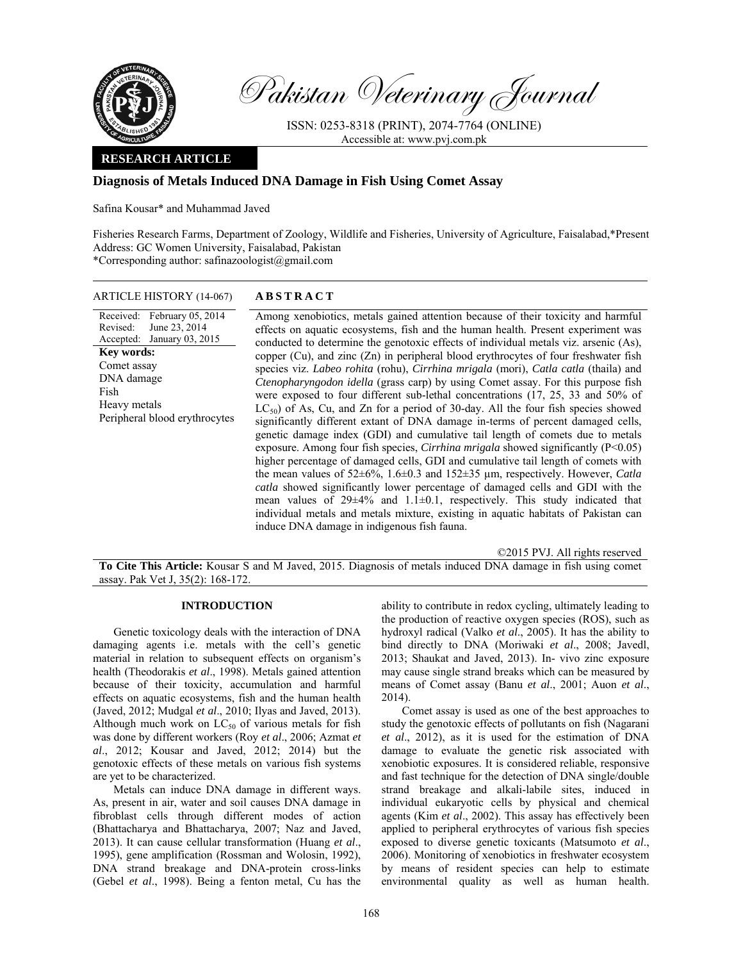

Pakistan Veterinary Journal

ISSN: 0253-8318 (PRINT), 2074-7764 (ONLINE) Accessible at: www.pvj.com.pk

# **RESEARCH ARTICLE**

# **Diagnosis of Metals Induced DNA Damage in Fish Using Comet Assay**

Safina Kousar\* and Muhammad Javed

Fisheries Research Farms, Department of Zoology, Wildlife and Fisheries, University of Agriculture, Faisalabad,\*Present Address: GC Women University, Faisalabad, Pakistan \*Corresponding author: safinazoologist@gmail.com

### ARTICLE HISTORY (14-067) **ABSTRACT**

Received: February 05, 2014 Revised: Accepted: January 03, 2015 June 23, 2014 **Key words:**  Comet assay DNA damage Fish Heavy metals Peripheral blood erythrocytes  Among xenobiotics, metals gained attention because of their toxicity and harmful effects on aquatic ecosystems, fish and the human health. Present experiment was conducted to determine the genotoxic effects of individual metals viz. arsenic (As), copper (Cu), and zinc (Zn) in peripheral blood erythrocytes of four freshwater fish species viz. *Labeo rohita* (rohu), *Cirrhina mrigala* (mori), *Catla catla* (thaila) and *Ctenopharyngodon idella* (grass carp) by using Comet assay. For this purpose fish were exposed to four different sub-lethal concentrations (17, 25, 33 and 50% of  $LC_{50}$ ) of As, Cu, and Zn for a period of 30-day. All the four fish species showed significantly different extant of DNA damage in-terms of percent damaged cells, genetic damage index (GDI) and cumulative tail length of comets due to metals exposure. Among four fish species, *Cirrhina mrigala* showed significantly (P<0.05) higher percentage of damaged cells, GDI and cumulative tail length of comets with the mean values of 52±6%, 1.6±0.3 and 152±35 µm, respectively. However, *Catla catla* showed significantly lower percentage of damaged cells and GDI with the mean values of 29±4% and 1.1±0.1, respectively. This study indicated that individual metals and metals mixture, existing in aquatic habitats of Pakistan can induce DNA damage in indigenous fish fauna.

©2015 PVJ. All rights reserved **To Cite This Article:** Kousar S and M Javed, 2015. Diagnosis of metals induced DNA damage in fish using comet assay. Pak Vet J, 35(2): 168-172.

### **INTRODUCTION**

Genetic toxicology deals with the interaction of DNA damaging agents i.e. metals with the cell's genetic material in relation to subsequent effects on organism's health (Theodorakis *et al*., 1998). Metals gained attention because of their toxicity, accumulation and harmful effects on aquatic ecosystems, fish and the human health (Javed, 2012; Mudgal *et al*., 2010; Ilyas and Javed, 2013). Although much work on  $LC_{50}$  of various metals for fish was done by different workers (Roy *et al*., 2006; Azmat *et al*., 2012; Kousar and Javed, 2012; 2014) but the genotoxic effects of these metals on various fish systems are yet to be characterized.

Metals can induce DNA damage in different ways. As, present in air, water and soil causes DNA damage in fibroblast cells through different modes of action (Bhattacharya and Bhattacharya, 2007; Naz and Javed, 2013). It can cause cellular transformation (Huang *et al*., 1995), gene amplification (Rossman and Wolosin, 1992), DNA strand breakage and DNA-protein cross-links (Gebel *et al*., 1998). Being a fenton metal, Cu has the

ability to contribute in redox cycling, ultimately leading to the production of reactive oxygen species (ROS), such as hydroxyl radical (Valko *et al*., 2005). It has the ability to bind directly to DNA (Moriwaki *et al*., 2008; Javedl, 2013; Shaukat and Javed, 2013). In- vivo zinc exposure may cause single strand breaks which can be measured by means of Comet assay (Banu *et al*., 2001; Auon *et al*., 2014).

Comet assay is used as one of the best approaches to study the genotoxic effects of pollutants on fish (Nagarani *et al*., 2012), as it is used for the estimation of DNA damage to evaluate the genetic risk associated with xenobiotic exposures. It is considered reliable, responsive and fast technique for the detection of DNA single/double strand breakage and alkali-labile sites, induced in individual eukaryotic cells by physical and chemical agents (Kim *et al*., 2002). This assay has effectively been applied to peripheral erythrocytes of various fish species exposed to diverse genetic toxicants (Matsumoto *et al*., 2006). Monitoring of xenobiotics in freshwater ecosystem by means of resident species can help to estimate environmental quality as well as human health.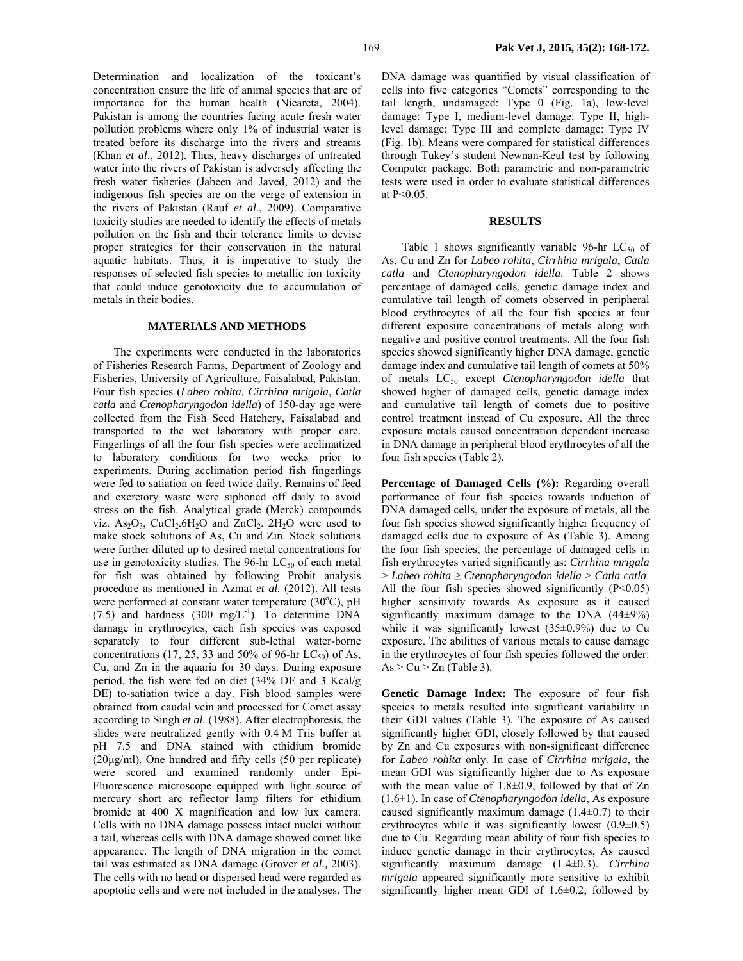Determination and localization of the toxicant's concentration ensure the life of animal species that are of importance for the human health (Nicareta, 2004). Pakistan is among the countries facing acute fresh water pollution problems where only 1% of industrial water is treated before its discharge into the rivers and streams (Khan *et al*., 2012). Thus, heavy discharges of untreated water into the rivers of Pakistan is adversely affecting the fresh water fisheries (Jabeen and Javed, 2012) and the indigenous fish species are on the verge of extension in the rivers of Pakistan (Rauf *et al*., 2009). Comparative toxicity studies are needed to identify the effects of metals pollution on the fish and their tolerance limits to devise proper strategies for their conservation in the natural aquatic habitats. Thus, it is imperative to study the responses of selected fish species to metallic ion toxicity that could induce genotoxicity due to accumulation of metals in their bodies.

#### **MATERIALS AND METHODS**

The experiments were conducted in the laboratories of Fisheries Research Farms, Department of Zoology and Fisheries, University of Agriculture, Faisalabad, Pakistan. Four fish species (*Labeo rohita*, *Cirrhina mrigala*, *Catla catla* and *Ctenopharyngodon idella*) of 150-day age were collected from the Fish Seed Hatchery, Faisalabad and transported to the wet laboratory with proper care. Fingerlings of all the four fish species were acclimatized to laboratory conditions for two weeks prior to experiments. During acclimation period fish fingerlings were fed to satiation on feed twice daily. Remains of feed and excretory waste were siphoned off daily to avoid stress on the fish. Analytical grade (Merck) compounds viz.  $As_2O_3$ , CuCl<sub>2</sub>.6H<sub>2</sub>O and ZnCl<sub>2</sub>. 2H<sub>2</sub>O were used to make stock solutions of As, Cu and Zin. Stock solutions were further diluted up to desired metal concentrations for use in genotoxicity studies. The 96-hr  $LC_{50}$  of each metal for fish was obtained by following Probit analysis procedure as mentioned in Azmat *et al.* (2012). All tests were performed at constant water temperature  $(30^{\circ}C)$ , pH  $(7.5)$  and hardness  $(300 \text{ mg/L}^{-1})$ . To determine DNA damage in erythrocytes, each fish species was exposed separately to four different sub-lethal water-borne concentrations (17, 25, 33 and 50% of 96-hr  $LC_{50}$ ) of As, Cu, and Zn in the aquaria for 30 days. During exposure period, the fish were fed on diet (34% DE and 3 Kcal/g DE) to-satiation twice a day. Fish blood samples were obtained from caudal vein and processed for Comet assay according to Singh *et al.* (1988). After electrophoresis, the slides were neutralized gently with 0.4 M Tris buffer at pH 7.5 and DNA stained with ethidium bromide (20µg/ml). One hundred and fifty cells (50 per replicate) were scored and examined randomly under Epi-Fluorescence microscope equipped with light source of mercury short arc reflector lamp filters for ethidium bromide at 400 X magnification and low lux camera. Cells with no DNA damage possess intact nuclei without a tail, whereas cells with DNA damage showed comet like appearance. The length of DNA migration in the comet tail was estimated as DNA damage (Grover *et al.,* 2003). The cells with no head or dispersed head were regarded as apoptotic cells and were not included in the analyses. The

DNA damage was quantified by visual classification of cells into five categories "Comets" corresponding to the tail length, undamaged: Type 0 (Fig. 1a), low-level damage: Type I, medium-level damage: Type II, highlevel damage: Type III and complete damage: Type IV (Fig. 1b). Means were compared for statistical differences through Tukey's student Newnan-Keul test by following Computer package. Both parametric and non-parametric tests were used in order to evaluate statistical differences at P<0.05.

### **RESULTS**

Table 1 shows significantly variable 96-hr  $LC_{50}$  of As, Cu and Zn for *Labeo rohita*, *Cirrhina mrigala*, *Catla catla* and *Ctenopharyngodon idella*. Table 2 shows percentage of damaged cells, genetic damage index and cumulative tail length of comets observed in peripheral blood erythrocytes of all the four fish species at four different exposure concentrations of metals along with negative and positive control treatments. All the four fish species showed significantly higher DNA damage, genetic damage index and cumulative tail length of comets at 50% of metals LC<sub>50</sub> except *Ctenopharyngodon idella* that showed higher of damaged cells, genetic damage index and cumulative tail length of comets due to positive control treatment instead of Cu exposure. All the three exposure metals caused concentration dependent increase in DNA damage in peripheral blood erythrocytes of all the four fish species (Table 2).

**Percentage of Damaged Cells (%):** Regarding overall performance of four fish species towards induction of DNA damaged cells, under the exposure of metals, all the four fish species showed significantly higher frequency of damaged cells due to exposure of As (Table 3). Among the four fish species, the percentage of damaged cells in fish erythrocytes varied significantly as: *Cirrhina mrigala*  > *Labeo rohita* ≥ *Ctenopharyngodon idella* > *Catla catla*. All the four fish species showed significantly  $(P<0.05)$ higher sensitivity towards As exposure as it caused significantly maximum damage to the DNA  $(44\pm9\%)$ while it was significantly lowest  $(35\pm0.9\%)$  due to Cu exposure. The abilities of various metals to cause damage in the erythrocytes of four fish species followed the order:  $As > Cu > Zn$  (Table 3).

**Genetic Damage Index:** The exposure of four fish species to metals resulted into significant variability in their GDI values (Table 3). The exposure of As caused significantly higher GDI, closely followed by that caused by Zn and Cu exposures with non-significant difference for *Labeo rohita* only. In case of *Cirrhina mrigala*, the mean GDI was significantly higher due to As exposure with the mean value of  $1.8\pm0.9$ , followed by that of Zn (1.6±1). In case of *Ctenopharyngodon idella*, As exposure caused significantly maximum damage  $(1.4\pm0.7)$  to their erythrocytes while it was significantly lowest  $(0.9\pm 0.5)$ due to Cu. Regarding mean ability of four fish species to induce genetic damage in their erythrocytes, As caused significantly maximum damage (1.4±0.3). *Cirrhina mrigala* appeared significantly more sensitive to exhibit significantly higher mean GDI of 1.6±0.2, followed by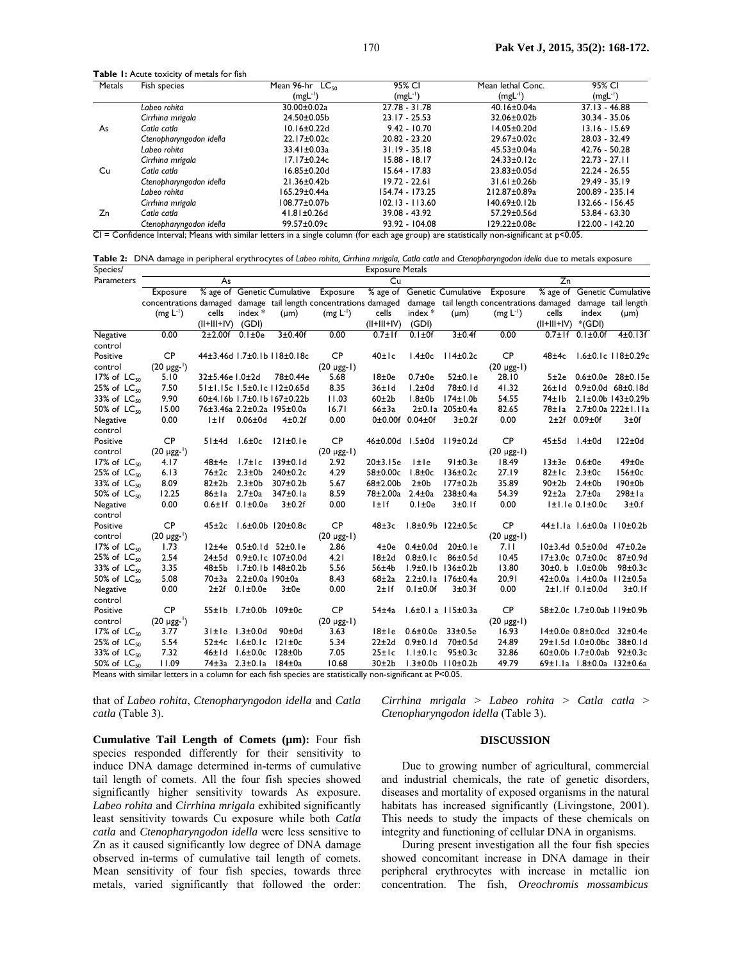Table 1: Acute toxicity of metals for fish

| Metals                                                                                                                                           | Fish species            | Mean 96-hr LC <sub>50</sub> | 95% CI            | Mean lethal Conc.  | 95% CI          |  |  |
|--------------------------------------------------------------------------------------------------------------------------------------------------|-------------------------|-----------------------------|-------------------|--------------------|-----------------|--|--|
|                                                                                                                                                  |                         | $(mgl^{-1})$                | $(mgl^{-1})$      | $(mgl^{-1})$       | $(mgL^{-1})$    |  |  |
|                                                                                                                                                  | Labeo rohita            | 30.00±0.02a                 | 27.78 - 31.78     | 40.16±0.04a        | $37.13 - 46.88$ |  |  |
|                                                                                                                                                  | Cirrhina mrigala        | 24.50±0.05b                 | $23.17 - 25.53$   | 32.06±0.02b        | 30.34 - 35.06   |  |  |
| As                                                                                                                                               | Catla catla             | $10.16 \pm 0.22$ d          | $9.42 - 10.70$    | $14.05 \pm 0.20$ d | $13.16 - 15.69$ |  |  |
|                                                                                                                                                  | Ctenopharyngodon idella | 22.17±0.02c                 | 20.82 - 23.20     | 29.67±0.02c        | 28.03 - 32.49   |  |  |
|                                                                                                                                                  | Labeo rohita            | 33.41±0.03a                 | $31.19 - 35.18$   | $45.53 \pm 0.04a$  | 42.76 - 50.28   |  |  |
|                                                                                                                                                  | Cirrhina mrigala        | 17.17±0.24c                 | 15.88 - 18.17     | 24.33±0.12c        | $22.73 - 27.11$ |  |  |
| Cu                                                                                                                                               | Catla catla             | $16.85 \pm 0.20$ d          | 15.64 - 17.83     | 23.83±0.05d        | $22.24 - 26.55$ |  |  |
|                                                                                                                                                  | Ctenopharyngodon idella | 21.36±0.42b                 | $19.72 - 22.61$   | $31.61 \pm 0.26$   | $29.49 - 35.19$ |  |  |
|                                                                                                                                                  | Labeo rohita            | 165.29±0.44a                | 154.74 - 173.25   | 212.87±0.89a       | 200.89 - 235.14 |  |  |
|                                                                                                                                                  | Cirrhina mrigala        | 108.77±0.07b                | $102.13 - 113.60$ | 140.69±0.12b       | 132.66 - 156.45 |  |  |
| Zn                                                                                                                                               | Catla catla             | $41.81 \pm 0.26$ d          | 39.08 - 43.92     | 57.29±0.56d        | 53.84 - 63.30   |  |  |
|                                                                                                                                                  | Ctenopharyngodon idella | 99.57±0.09c                 | 93.92 - 104.08    | 129.22±0.08c       | 122.00 - 142.20 |  |  |
| $CI =$ Confidence Interval; Means with similar letters in a single column (for each age group) are statistically non-significant at $p < 0.05$ . |                         |                             |                   |                    |                 |  |  |

**Table 2:** DNA damage in peripheral erythrocytes of *Labeo rohita, Cirrhina mrigala, Catla catla* and *Ctenopharyngodon idella* due to metals exposure

| Species/            |                                                                                                                               |                 |                             |                                          |                  | <b>Exposure Metals</b> |                           |                                 |                                      |                          |                               |                                |
|---------------------|-------------------------------------------------------------------------------------------------------------------------------|-----------------|-----------------------------|------------------------------------------|------------------|------------------------|---------------------------|---------------------------------|--------------------------------------|--------------------------|-------------------------------|--------------------------------|
| Parameters          |                                                                                                                               | As              |                             |                                          |                  | Cu                     |                           |                                 |                                      | $\overline{z}$ n         |                               |                                |
|                     | Exposure                                                                                                                      |                 |                             | % age of Genetic Cumulative              | Exposure         |                        |                           |                                 | % age of Genetic Cumulative Exposure |                          |                               | % age of Genetic Cumulative    |
|                     | concentrations damaged damage tail length concentrations damaged damage tail length concentrations damaged damage tail length |                 |                             |                                          |                  |                        |                           |                                 |                                      |                          |                               |                                |
|                     | $(mg L^{-1})$                                                                                                                 | cells           | index $*$                   | $(\mu m)$                                | $(mg L^{-1})$    | cells                  | index $*$                 | $(\mu m)$                       | $(mg L^{-1})$                        | cells                    | index                         | $(\mu m)$                      |
|                     |                                                                                                                               | $(II+III+IV)$   | (GDI)                       |                                          |                  | $(II+III+IV)$          | (GDI)                     |                                 |                                      | $(  +   + V)$            | *(GDI)                        |                                |
| Negative            | 0.00                                                                                                                          | $2\pm2.00$ f    | $0.1 \pm 0e$                | 3±0.40f                                  | 0.00             | $0.7 \pm 1$ f          | $0.1 \pm 0f$              | 3±0.4f                          | 0.00                                 |                          | $0.7 \pm 1$ f $0.1 \pm 0.0$ f | $4\pm0.13f$                    |
| control             |                                                                                                                               |                 |                             |                                          |                  |                        |                           |                                 |                                      |                          |                               |                                |
| Positive            | <b>CP</b>                                                                                                                     |                 |                             | 44±3.46d 1.7±0.1b 118±0.18c              | <b>CP</b>        | 40±1c                  | $1.4 \pm 0c$              | $114\pm0.2c$                    | <b>CP</b>                            | $48\pm4c$                |                               | $1.6 \pm 0.1c$ $118 \pm 0.29c$ |
| control             | $(20 \mu\text{gg}^{-1})$                                                                                                      |                 |                             |                                          | $(20 \mu g - 1)$ |                        |                           |                                 | $(20 \mu g - 1)$                     |                          |                               |                                |
| 17% of $LC_{50}$    | 5.10                                                                                                                          | 32±5.46e I.0±2d |                             | 78±0.44e                                 | 5.68             | 18±0e                  | $0.7 \pm 0e$              | 52±0.1e                         | 28.10                                | 5±2e                     |                               | $0.6 \pm 0.0e$ 28 $\pm 0.15e$  |
| $25%$ of $LC_{50}$  | 7.50                                                                                                                          |                 |                             | 51±1.15c 1.5±0.1c 112±0.65d              | 8.35             | 36±1d                  | $1.2 \pm 0d$              | 78±0.1d                         | 41.32                                | $26 \pm 1$ d             |                               | $0.9\pm0.0$ d 68 $\pm0.18$ d   |
| $33\%$ of $LC_{50}$ | 9.90                                                                                                                          |                 |                             | 60±4.16b 1.7±0.1b 167±0.22b              | 11.03            | 60±2b                  | $1.8 + 0b$                | 174±1.0b                        | 54.55                                | 74±1b                    |                               | 2.1±0.0b 143±0.29b             |
| 50% of $LC_{50}$    | 15.00                                                                                                                         |                 |                             | 76±3.46a 2.2±0.2a 195±0.0a               | 16.71            | $66\pm3a$              |                           | 2±0.1a 205±0.4a                 | 82.65                                | 78±la                    |                               | 2.7±0.0a 222±1.11a             |
| Negative            | 0.00                                                                                                                          | l±lf            | $0.06 \pm 0d$               | $4\pm0.2f$                               | 0.00             |                        | $0\pm0.00f$ 0.04 $\pm$ 0f | 3±0.2f                          | 0.00                                 |                          | 2±2f 0.09±0f                  | 3±0f                           |
| control             |                                                                                                                               |                 |                             |                                          |                  |                        |                           |                                 |                                      |                          |                               |                                |
| Positive            | <b>CP</b>                                                                                                                     | 51±4d           | $1.6 \pm 0c$                | 121±0.1e                                 | <b>CP</b>        | $46 \pm 0.00$ d        | $1.5 \pm 0d$              | 119±0.2d                        | <b>CP</b>                            | $45 \pm 5$ d             | $1.4 \pm 0d$                  | $122 \pm 0d$                   |
| control             | $(20 \mu\text{gg}^{-1})$                                                                                                      |                 |                             |                                          | $(20 \mu g - 1)$ |                        |                           |                                 | $(20 \mu g - 1)$                     |                          |                               |                                |
| 17% of $LC_{50}$    | 4.17                                                                                                                          | $48\pm4e$       | $1.7 \pm 1c$                | $139 \pm 0.1$ d                          | 2.92             | 20±3.15e               | <b>I</b> ±le              | 91±0.3e                         | 18.49                                | $13 \pm 3e$ 0.6 $\pm$ 0e |                               | $49\pm0e$                      |
| $25%$ of $LC_{50}$  | 6.13                                                                                                                          | $76 \pm 2c$     | $2.3 \pm 0 b$               | $240 \pm 0.2c$                           | 4.29             | 58±0.00c               | $1.8 \pm 0c$              | $136 \pm 0.2c$                  | 27.19                                | $82 \pm 1c$              | $2.3 \pm 0c$                  | $156 \pm 0c$                   |
| $33\%$ of $LC_{50}$ | 8.09                                                                                                                          | $82 \pm 2b$     | $2.3 \pm 0 b$               | 307±0.2b                                 | 5.67             | $68 + 2.00b$           | 2±0b                      | $177\pm0.2b$                    | 35.89                                | 90±2b                    | $2.4 \pm 0$                   | 190±0b                         |
| 50% of $LC_{50}$    | 12.25                                                                                                                         | $86 \pm 1a$     | $2.7 \pm 0a$                | 347±0.1a                                 | 8.59             | 78±2.00a               | $2.4 \pm 0a$              | $238 \pm 0.4a$                  | 54.39                                | $92 \pm 2a$              | $2.7 \pm 0a$                  | $298 \pm 1a$                   |
| Negative            | 0.00                                                                                                                          |                 | $0.6 \pm 1f$ 0.1 $\pm 0.0e$ | 3±0.2f                                   | 0.00             | $l \pm 1f$             | $0.1 \pm 0e$              | 3±0.1f                          | 0.00                                 |                          | $ ± $ . $ e 0.1±0.0c$         | 3±0.f                          |
| control             |                                                                                                                               |                 |                             |                                          |                  |                        |                           |                                 |                                      |                          |                               |                                |
| Positive            | <b>CP</b>                                                                                                                     | $45\pm2c$       |                             | $1.6 \pm 0.0$ b $120 \pm 0.8$ c          | <b>CP</b>        | $48\pm3c$              |                           | $1.8 \pm 0.9$ b $122 \pm 0.5$ c | <b>CP</b>                            |                          |                               | 44±1.1a 1.6±0.0a 110±0.2b      |
| control             | $(20 \mu\text{gg}^{-1})$                                                                                                      |                 |                             |                                          | $(20 \mu g - 1)$ |                        |                           |                                 | $(20 \mu g - 1)$                     |                          |                               |                                |
| 17% of $LC_{50}$    | 1.73                                                                                                                          |                 |                             | $12 \pm 4e$ 0.5 $\pm$ 0.1d 52 $\pm$ 0.1e | 2.86             | $4\pm0e$               | $0.4 \pm 0.0$ d           | 20±0.1e                         | 7.11                                 |                          | $10±3.4d$ $0.5±0.0d$          | $47 + 0.2e$                    |
| $25%$ of $LC_{50}$  | 2.54                                                                                                                          |                 |                             | 24±5d 0.9±0.1c 107±0.0d                  | 4.21             | $18 + 2d$              | $0.8 \pm 0.1c$            | $86\pm0.5d$                     | 10.45                                |                          | $17\pm3.0c$ 0.7 $\pm0.0c$     | $87 + 0.9d$                    |
| 33% of $LC_{50}$    | 3.35                                                                                                                          |                 |                             | 48±5b 1.7±0.1b 148±0.2b                  | 5.56             | 56±4b                  |                           | $1.9\pm0.1b$ $136\pm0.2b$       | 13.80                                |                          | 30±0.b 1.0±0.0b               | $98\pm0.3c$                    |
| 50% of $LC_{50}$    | 5.08                                                                                                                          | $70\pm3a$       | $2.2 \pm 0.0a$ 190 $\pm$ 0a |                                          | 8.43             | $68\pm2a$              |                           | $2.2 \pm 0.1a$ 176 $\pm 0.4a$   | 20.91                                |                          |                               | 42±0.0a 1.4±0.0a 112±0.5a      |
| Negative            | 0.00                                                                                                                          | 2±2f            | $0.1 \pm 0.0e$              | 3±0e                                     | 0.00             | $2±$ If                | $0.1 \pm 0.0f$            | 3±0.3f                          | 0.00                                 |                          | $2±1.1f$ 0.1 $±0.0d$          | 3±0.1f                         |
| control             |                                                                                                                               |                 |                             |                                          |                  |                        |                           |                                 |                                      |                          |                               |                                |
| Positive            | <b>CP</b>                                                                                                                     | 55±1b           | $1.7 \pm 0.0$ b             | $109 \pm 0c$                             | <b>CP</b>        | 54±4a                  |                           | $1.6 \pm 0.1$ a $115 \pm 0.3$ a | <b>CP</b>                            |                          |                               | 58±2.0c 1.7±0.0ab 119±0.9b     |
| control             | $(20 \mu g^{-1})$                                                                                                             |                 |                             |                                          | $(20 \mu g - 1)$ |                        |                           |                                 | $(20 \mu g - 1)$                     |                          |                               |                                |
| 17% of $LC_{50}$    | 3.77                                                                                                                          |                 | $31 \pm 1e$ $1.3 \pm 0.0d$  | $90\pm0d$                                | 3.63             | 18±1e                  | $0.6{\pm}0.0e$            | $33\pm0.5e$                     | 16.93                                |                          |                               | 14±0.0e 0.8±0.0cd 32±0.4e      |
| 25% of $LC_{50}$    | 5.54                                                                                                                          |                 | 52±4c 1.6±0.1c              | $121 \pm 0c$                             | 5.34             | $22 \pm 2d$            | $0.9 \pm 0.1$ d           | 70±0.5d                         | 24.89                                |                          |                               | 29±1.5d 1.0±0.0bc 38±0.1d      |
| 33% of $LC_{50}$    | 7.32                                                                                                                          | 46±1d           | $1.6 \pm 0.0c$              | $128\pm0$                                | 7.05             | $25 \pm 1c$            | $1.1 \pm 0.1c$            | $95\pm0.3c$                     | 32.86                                |                          |                               | 60±0.0b 1.7±0.0ab 92±0.3c      |
| 50% of $LC_{50}$    | 11.09                                                                                                                         |                 | 74±3a 2.3±0.1a              | 184±0a                                   | 10.68            | 30±2b                  |                           | $1.3 \pm 0.0$ b $110 \pm 0.2$ b | 49.79                                |                          |                               | 69±1.1a 1.8±0.0a 132±0.6a      |

Means with similar letters in a column for each fish species are statistically non-significant at P<0.05.

that of *Labeo rohita*, *Ctenopharyngodon idella* and *Catla catla* (Table 3).

*Cirrhina mrigala* > *Labeo rohita* > *Catla catla* > *Ctenopharyngodon idella* (Table 3).

# **DISCUSSION**

**Cumulative Tail Length of Comets (µm):** Four fish species responded differently for their sensitivity to induce DNA damage determined in-terms of cumulative tail length of comets. All the four fish species showed significantly higher sensitivity towards As exposure. *Labeo rohita* and *Cirrhina mrigala* exhibited significantly least sensitivity towards Cu exposure while both *Catla catla* and *Ctenopharyngodon idella* were less sensitive to Zn as it caused significantly low degree of DNA damage observed in-terms of cumulative tail length of comets. Mean sensitivity of four fish species, towards three metals, varied significantly that followed the order:

Due to growing number of agricultural, commercial and industrial chemicals, the rate of genetic disorders, diseases and mortality of exposed organisms in the natural habitats has increased significantly (Livingstone, 2001). This needs to study the impacts of these chemicals on integrity and functioning of cellular DNA in organisms.

During present investigation all the four fish species showed concomitant increase in DNA damage in their peripheral erythrocytes with increase in metallic ion concentration. The fish, *Oreochromis mossambicus*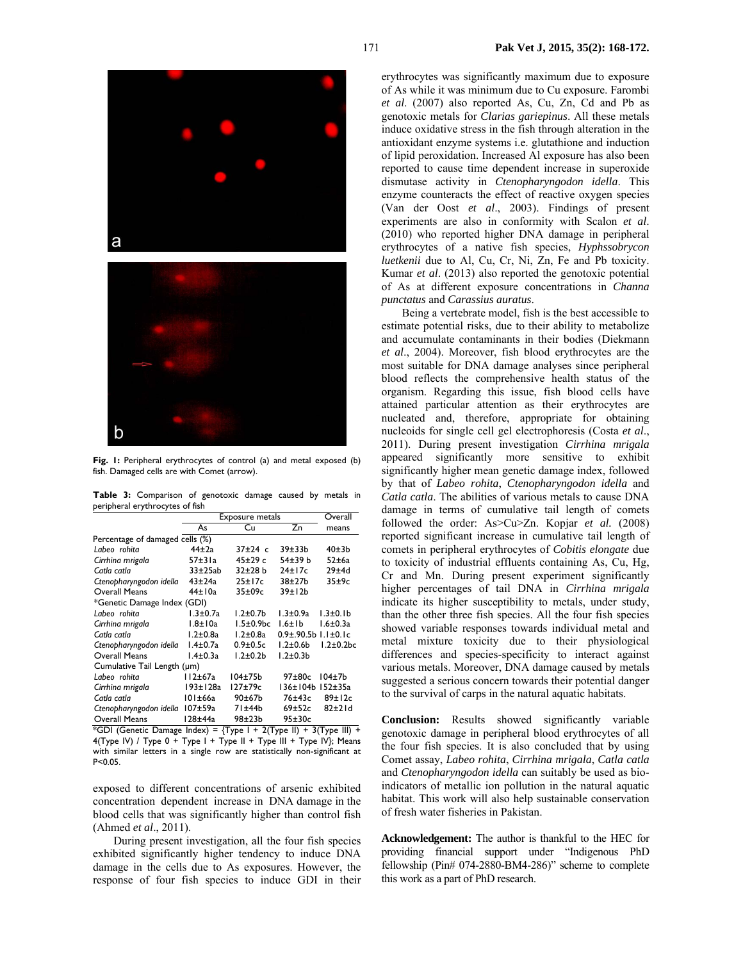

**Fig. 1:** Peripheral erythrocytes of control (a) and metal exposed (b) fish. Damaged cells are with Comet (arrow).

**Table 3:** Comparison of genotoxic damage caused by metals in peripheral erythrocytes of fish

|                                 | Exposure metals | Overall            |                               |                  |  |  |  |  |
|---------------------------------|-----------------|--------------------|-------------------------------|------------------|--|--|--|--|
|                                 | As              | Сu                 | Zn                            | means            |  |  |  |  |
| Percentage of damaged cells (%) |                 |                    |                               |                  |  |  |  |  |
| Labeo rohita                    | $44\pm2a$       | $37+24$ c          | $39 + 33b$                    | 40±3b            |  |  |  |  |
| Cirrhina mrigala                | $57\pm31a$      | 45±29 c            | 54±39 b                       | $52 \pm 6a$      |  |  |  |  |
| Catla catla                     | $33\pm25ab$     | $32 + 28 b$        | 24±17c                        | 29±4d            |  |  |  |  |
| Ctenopharyngodon idella         | $43 + 24a$      | $25 \pm 17c$       | $38\pm27$ b                   | 35±9c            |  |  |  |  |
| <b>Overall Means</b>            | $44\pm10a$      | $35\pm09c$         | 39±12 <sub>b</sub>            |                  |  |  |  |  |
| *Genetic Damage Index (GDI)     |                 |                    |                               |                  |  |  |  |  |
| Labeo rohita                    | $1.3 \pm 0.7a$  | $1.2 \pm 0.7$ b    | $1.3 \pm 0.9a$                | $1.3 \pm 0.1 b$  |  |  |  |  |
| Cirrhina mrigala                | 1.8±10a         | 1.5±0.9bc          | $1.6 \pm 1b$                  | $1.6 \pm 0.3a$   |  |  |  |  |
| Catla catla                     | $1.2 \pm 0.8$ a | $1.2{\pm}0.8a$     | $0.9\pm.90.5b$ 1.1 $\pm$ 0.1c |                  |  |  |  |  |
| Ctenopharyngodon idella         | $1.4\pm0.7a$    | $0.9 \pm 0.5c$     | $1.2\pm0.6b$                  | $1.2 \pm 0.2$ bc |  |  |  |  |
| <b>Overall Means</b>            | $1.4\pm0.3a$    | $1.2 \pm 0.2$      | $1.2 \pm 0.3$                 |                  |  |  |  |  |
| Cumulative Tail Length (um)     |                 |                    |                               |                  |  |  |  |  |
| Labeo rohita                    | 112±67a         | $104\pm75b$        | $97 + 80c$                    | $104\pm7h$       |  |  |  |  |
| Cirrhina mrigala                | 193±128a        | 127±79c            | 136±104b                      | $152 \pm 35a$    |  |  |  |  |
| Catla catla                     | 101±66a         | 90±67 <sub>b</sub> | 76±43c                        | 89±12c           |  |  |  |  |
| Ctenopharyngodon idella         | $107 \pm 59a$   | 71±44b             | 69±52c                        | $82\pm21$ d      |  |  |  |  |
| <b>Overall Means</b>            | 128±44a         | 98±23b             | $95\pm30c$                    |                  |  |  |  |  |

\*GDI (Genetic Damage Index) =  $\{Type \mid + 2(Type \mid I) + 3(Type \mid II) +$  $4$ (Type IV) / Type 0 + Type I + Type II + Type III + Type IV); Means with similar letters in a single row are statistically non-significant at P<0.05.

exposed to different concentrations of arsenic exhibited concentration dependent increase in DNA damage in the blood cells that was significantly higher than control fish (Ahmed *et al*., 2011).

During present investigation, all the four fish species exhibited significantly higher tendency to induce DNA damage in the cells due to As exposures. However, the response of four fish species to induce GDI in their

erythrocytes was significantly maximum due to exposure of As while it was minimum due to Cu exposure. Farombi *et al*. (2007) also reported As, Cu, Zn, Cd and Pb as genotoxic metals for *Clarias gariepinus*. All these metals induce oxidative stress in the fish through alteration in the antioxidant enzyme systems i.e. glutathione and induction of lipid peroxidation. Increased Al exposure has also been reported to cause time dependent increase in superoxide dismutase activity in *Ctenopharyngodon idella*. This enzyme counteracts the effect of reactive oxygen species (Van der Oost *et al*., 2003). Findings of present experiments are also in conformity with Scalon *et al*. (2010) who reported higher DNA damage in peripheral erythrocytes of a native fish species, *Hyphssobrycon luetkenii* due to Al, Cu, Cr, Ni, Zn, Fe and Pb toxicity. Kumar *et al*. (2013) also reported the genotoxic potential of As at different exposure concentrations in *Channa punctatus* and *Carassius auratus*.

Being a vertebrate model, fish is the best accessible to estimate potential risks, due to their ability to metabolize and accumulate contaminants in their bodies (Diekmann *et al*., 2004). Moreover, fish blood erythrocytes are the most suitable for DNA damage analyses since peripheral blood reflects the comprehensive health status of the organism. Regarding this issue, fish blood cells have attained particular attention as their erythrocytes are nucleated and, therefore, appropriate for obtaining nucleoids for single cell gel electrophoresis (Costa *et al*., 2011). During present investigation *Cirrhina mrigala* appeared significantly more sensitive to exhibit significantly higher mean genetic damage index, followed by that of *Labeo rohita*, *Ctenopharyngodon idella* and *Catla catla*. The abilities of various metals to cause DNA damage in terms of cumulative tail length of comets followed the order: As>Cu>Zn. Kopjar *et al.* (2008) reported significant increase in cumulative tail length of comets in peripheral erythrocytes of *Cobitis elongate* due to toxicity of industrial effluents containing As, Cu, Hg, Cr and Mn. During present experiment significantly higher percentages of tail DNA in *Cirrhina mrigala* indicate its higher susceptibility to metals, under study, than the other three fish species. All the four fish species showed variable responses towards individual metal and metal mixture toxicity due to their physiological differences and species-specificity to interact against various metals. Moreover, DNA damage caused by metals suggested a serious concern towards their potential danger to the survival of carps in the natural aquatic habitats.

**Conclusion:** Results showed significantly variable genotoxic damage in peripheral blood erythrocytes of all the four fish species. It is also concluded that by using Comet assay, *Labeo rohita*, *Cirrhina mrigala*, *Catla catla* and *Ctenopharyngodon idella* can suitably be used as bioindicators of metallic ion pollution in the natural aquatic habitat. This work will also help sustainable conservation of fresh water fisheries in Pakistan.

**Acknowledgement:** The author is thankful to the HEC for providing financial support under "Indigenous PhD fellowship (Pin# 074-2880-BM4-286)" scheme to complete this work as a part of PhD research.